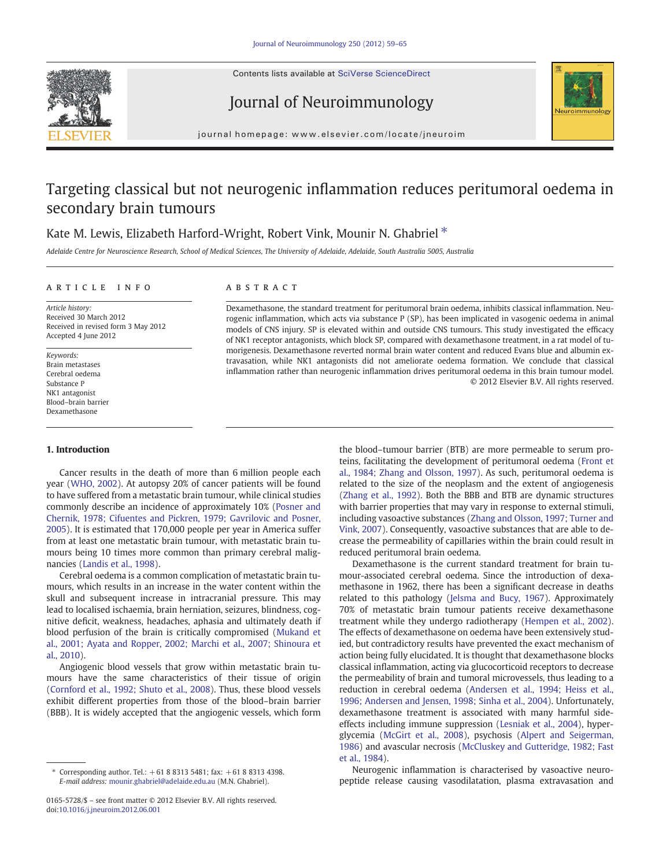Contents lists available at SciVerse ScienceDirect







journal homepage: www.elsevier.com/locate/jneuroim

# Targeting classical but not neurogenic inflammation reduces peritumoral oedema in secondary brain tumours

## Kate M. Lewis, Elizabeth Harford-Wright, Robert Vink, Mounir N. Ghabriel  $*$

Adelaide Centre for Neuroscience Research, School of Medical Sciences, The University of Adelaide, Adelaide, South Australia 5005, Australia

#### article info abstract

Article history: Received 30 March 2012 Received in revised form 3 May 2012 Accepted 4 June 2012

Keywords: Brain metastases Cerebral oedema Substance P NK1 antagonist Blood–brain barrier Dexamethasone

### 1. Introduction

Cancer results in the death of more than 6 million people each year ([WHO, 2002](#page-5-0)). At autopsy 20% of cancer patients will be found to have suffered from a metastatic brain tumour, while clinical studies commonly describe an incidence of approximately 10% ([Posner and](#page-5-0) [Chernik, 1978; Cifuentes and Pickren, 1979; Gavrilovic and Posner,](#page-5-0) [2005\)](#page-5-0). It is estimated that 170,000 people per year in America suffer from at least one metastatic brain tumour, with metastatic brain tumours being 10 times more common than primary cerebral malignancies ([Landis et al., 1998\)](#page-5-0).

Cerebral oedema is a common complication of metastatic brain tumours, which results in an increase in the water content within the skull and subsequent increase in intracranial pressure. This may lead to localised ischaemia, brain herniation, seizures, blindness, cognitive deficit, weakness, headaches, aphasia and ultimately death if blood perfusion of the brain is critically compromised [\(Mukand et](#page-5-0) [al., 2001; Ayata and Ropper, 2002; Marchi et al., 2007; Shinoura et](#page-5-0) [al., 2010](#page-5-0)).

Angiogenic blood vessels that grow within metastatic brain tumours have the same characteristics of their tissue of origin [\(Cornford et al., 1992; Shuto et al., 2008](#page-5-0)). Thus, these blood vessels exhibit different properties from those of the blood–brain barrier (BBB). It is widely accepted that the angiogenic vessels, which form

Dexamethasone, the standard treatment for peritumoral brain oedema, inhibits classical inflammation. Neurogenic inflammation, which acts via substance P (SP), has been implicated in vasogenic oedema in animal models of CNS injury. SP is elevated within and outside CNS tumours. This study investigated the efficacy of NK1 receptor antagonists, which block SP, compared with dexamethasone treatment, in a rat model of tumorigenesis. Dexamethasone reverted normal brain water content and reduced Evans blue and albumin extravasation, while NK1 antagonists did not ameliorate oedema formation. We conclude that classical inflammation rather than neurogenic inflammation drives peritumoral oedema in this brain tumour model. © 2012 Elsevier B.V. All rights reserved.

> the blood–tumour barrier (BTB) are more permeable to serum proteins, facilitating the development of peritumoral oedema [\(Front et](#page-5-0) [al., 1984; Zhang and Olsson, 1997](#page-5-0)). As such, peritumoral oedema is related to the size of the neoplasm and the extent of angiogenesis [\(Zhang et al., 1992](#page-6-0)). Both the BBB and BTB are dynamic structures with barrier properties that may vary in response to external stimuli, including vasoactive substances ([Zhang and Olsson, 1997; Turner and](#page-6-0) [Vink, 2007\)](#page-6-0). Consequently, vasoactive substances that are able to decrease the permeability of capillaries within the brain could result in reduced peritumoral brain oedema.

> Dexamethasone is the current standard treatment for brain tumour-associated cerebral oedema. Since the introduction of dexamethasone in 1962, there has been a significant decrease in deaths related to this pathology [\(Jelsma and Bucy, 1967](#page-5-0)). Approximately 70% of metastatic brain tumour patients receive dexamethasone treatment while they undergo radiotherapy [\(Hempen et al., 2002](#page-5-0)). The effects of dexamethasone on oedema have been extensively studied, but contradictory results have prevented the exact mechanism of action being fully elucidated. It is thought that dexamethasone blocks classical inflammation, acting via glucocorticoid receptors to decrease the permeability of brain and tumoral microvessels, thus leading to a reduction in cerebral oedema ([Andersen et al., 1994; Heiss et al.,](#page-5-0) [1996; Andersen and Jensen, 1998; Sinha et al., 2004](#page-5-0)). Unfortunately, dexamethasone treatment is associated with many harmful sideeffects including immune suppression ([Lesniak et al., 2004\)](#page-5-0), hyperglycemia ([McGirt et al., 2008](#page-5-0)), psychosis ([Alpert and Seigerman,](#page-5-0) [1986\)](#page-5-0) and avascular necrosis ([McCluskey and Gutteridge, 1982; Fast](#page-5-0) [et al., 1984\)](#page-5-0).

> Neurogenic inflammation is characterised by vasoactive neuropeptide release causing vasodilatation, plasma extravasation and

Corresponding author. Tel.:  $+61883135481$ ; fax:  $+61883134398$ . E-mail address: [mounir.ghabriel@adelaide.edu.au](mailto:mounir.ghabriel@adelaide.edu.au) (M.N. Ghabriel).

<sup>0165-5728/\$</sup> – see front matter © 2012 Elsevier B.V. All rights reserved. doi:[10.1016/j.jneuroim.2012.06.001](http://dx.doi.org/10.1016/j.jneuroim.2012.06.001)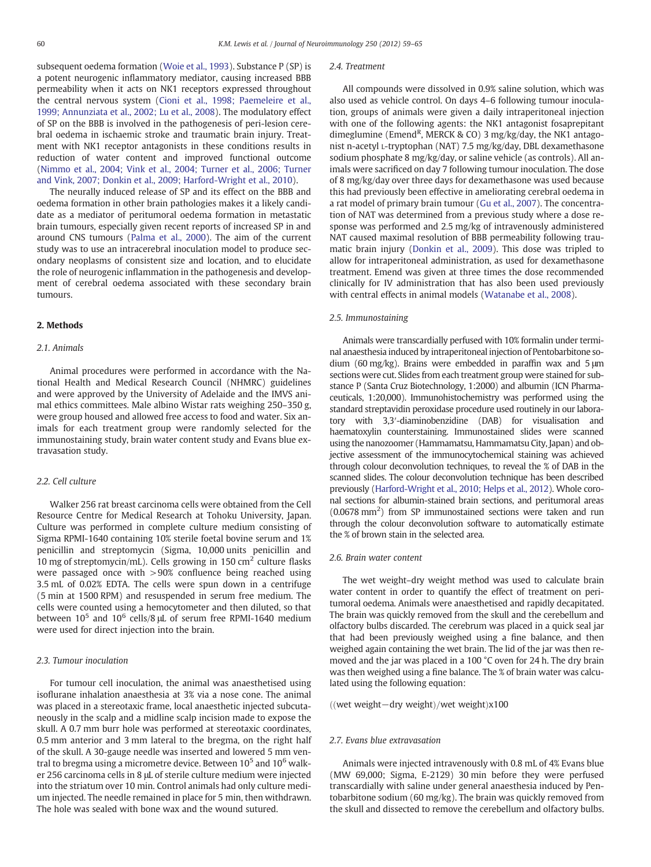subsequent oedema formation [\(Woie et al., 1993\)](#page-6-0). Substance P (SP) is a potent neurogenic inflammatory mediator, causing increased BBB permeability when it acts on NK1 receptors expressed throughout the central nervous system ([Cioni et al., 1998; Paemeleire et al.,](#page-5-0) [1999; Annunziata et al., 2002; Lu et al., 2008\)](#page-5-0). The modulatory effect of SP on the BBB is involved in the pathogenesis of peri-lesion cerebral oedema in ischaemic stroke and traumatic brain injury. Treatment with NK1 receptor antagonists in these conditions results in reduction of water content and improved functional outcome [\(Nimmo et al., 2004; Vink et al., 2004; Turner et al., 2006; Turner](#page-5-0) [and Vink, 2007; Donkin et al., 2009; Harford-Wright et al., 2010\)](#page-5-0).

The neurally induced release of SP and its effect on the BBB and oedema formation in other brain pathologies makes it a likely candidate as a mediator of peritumoral oedema formation in metastatic brain tumours, especially given recent reports of increased SP in and around CNS tumours ([Palma et al., 2000](#page-5-0)). The aim of the current study was to use an intracerebral inoculation model to produce secondary neoplasms of consistent size and location, and to elucidate the role of neurogenic inflammation in the pathogenesis and development of cerebral oedema associated with these secondary brain tumours.

#### 2. Methods

#### 2.1. Animals

Animal procedures were performed in accordance with the National Health and Medical Research Council (NHMRC) guidelines and were approved by the University of Adelaide and the IMVS animal ethics committees. Male albino Wistar rats weighing 250–350 g, were group housed and allowed free access to food and water. Six animals for each treatment group were randomly selected for the immunostaining study, brain water content study and Evans blue extravasation study.

#### 2.2. Cell culture

Walker 256 rat breast carcinoma cells were obtained from the Cell Resource Centre for Medical Research at Tohoku University, Japan. Culture was performed in complete culture medium consisting of Sigma RPMI-1640 containing 10% sterile foetal bovine serum and 1% penicillin and streptomycin (Sigma, 10,000 units penicillin and 10 mg of streptomycin/mL). Cells growing in 150 cm<sup>2</sup> culture flasks were passaged once with >90% confluence being reached using 3.5 mL of 0.02% EDTA. The cells were spun down in a centrifuge (5 min at 1500 RPM) and resuspended in serum free medium. The cells were counted using a hemocytometer and then diluted, so that between  $10^5$  and  $10^6$  cells/8  $\mu$ L of serum free RPMI-1640 medium were used for direct injection into the brain.

#### 2.3. Tumour inoculation

For tumour cell inoculation, the animal was anaesthetised using isoflurane inhalation anaesthesia at 3% via a nose cone. The animal was placed in a stereotaxic frame, local anaesthetic injected subcutaneously in the scalp and a midline scalp incision made to expose the skull. A 0.7 mm burr hole was performed at stereotaxic coordinates, 0.5 mm anterior and 3 mm lateral to the bregma, on the right half of the skull. A 30-gauge needle was inserted and lowered 5 mm ventral to bregma using a micrometre device. Between  $10^5$  and  $10^6$  walker 256 carcinoma cells in 8 μL of sterile culture medium were injected into the striatum over 10 min. Control animals had only culture medium injected. The needle remained in place for 5 min, then withdrawn. The hole was sealed with bone wax and the wound sutured.

#### 2.4. Treatment

All compounds were dissolved in 0.9% saline solution, which was also used as vehicle control. On days 4–6 following tumour inoculation, groups of animals were given a daily intraperitoneal injection with one of the following agents: the NK1 antagonist fosaprepitant dimeglumine (Emend<sup>R</sup>, MERCK & CO) 3 mg/kg/day, the NK1 antagonist n-acetyl L-tryptophan (NAT) 7.5 mg/kg/day, DBL dexamethasone sodium phosphate 8 mg/kg/day, or saline vehicle (as controls). All animals were sacrificed on day 7 following tumour inoculation. The dose of 8 mg/kg/day over three days for dexamethasone was used because this had previously been effective in ameliorating cerebral oedema in a rat model of primary brain tumour [\(Gu et al., 2007\)](#page-5-0). The concentration of NAT was determined from a previous study where a dose response was performed and 2.5 mg/kg of intravenously administered NAT caused maximal resolution of BBB permeability following traumatic brain injury ([Donkin et al., 2009\)](#page-5-0). This dose was tripled to allow for intraperitoneal administration, as used for dexamethasone treatment. Emend was given at three times the dose recommended clinically for IV administration that has also been used previously with central effects in animal models [\(Watanabe et al., 2008\)](#page-5-0).

#### 2.5. Immunostaining

Animals were transcardially perfused with 10% formalin under terminal anaesthesia induced by intraperitoneal injection of Pentobarbitone sodium (60 mg/kg). Brains were embedded in paraffin wax and 5 μm sections were cut. Slides from each treatment group were stained for substance P (Santa Cruz Biotechnology, 1:2000) and albumin (ICN Pharmaceuticals, 1:20,000). Immunohistochemistry was performed using the standard streptavidin peroxidase procedure used routinely in our laboratory with 3,3′-diaminobenzidine (DAB) for visualisation and haematoxylin counterstaining. Immunostained slides were scanned using the nanozoomer (Hammamatsu, Hammamatsu City, Japan) and objective assessment of the immunocytochemical staining was achieved through colour deconvolution techniques, to reveal the % of DAB in the scanned slides. The colour deconvolution technique has been described previously [\(Harford-Wright et al., 2010; Helps et al., 2012](#page-5-0)). Whole coronal sections for albumin-stained brain sections, and peritumoral areas (0.0678 mm<sup>2</sup> ) from SP immunostained sections were taken and run through the colour deconvolution software to automatically estimate the % of brown stain in the selected area.

#### 2.6. Brain water content

The wet weight–dry weight method was used to calculate brain water content in order to quantify the effect of treatment on peritumoral oedema. Animals were anaesthetised and rapidly decapitated. The brain was quickly removed from the skull and the cerebellum and olfactory bulbs discarded. The cerebrum was placed in a quick seal jar that had been previously weighed using a fine balance, and then weighed again containing the wet brain. The lid of the jar was then removed and the jar was placed in a 100 °C oven for 24 h. The dry brain was then weighed using a fine balance. The % of brain water was calculated using the following equation:

#### ((wet weight–dry weight)/wet weight)x100

#### 2.7. Evans blue extravasation

Animals were injected intravenously with 0.8 mL of 4% Evans blue (MW 69,000; Sigma, E-2129) 30 min before they were perfused transcardially with saline under general anaesthesia induced by Pentobarbitone sodium (60 mg/kg). The brain was quickly removed from the skull and dissected to remove the cerebellum and olfactory bulbs.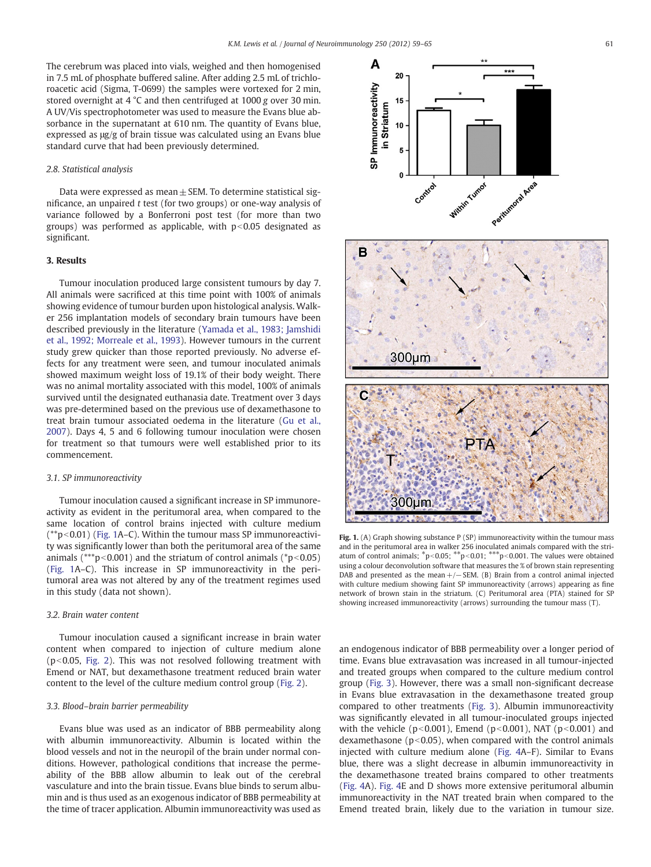The cerebrum was placed into vials, weighed and then homogenised in 7.5 mL of phosphate buffered saline. After adding 2.5 mL of trichloroacetic acid (Sigma, T-0699) the samples were vortexed for 2 min, stored overnight at 4 °C and then centrifuged at 1000 g over 30 min. A UV/Vis spectrophotometer was used to measure the Evans blue absorbance in the supernatant at 610 nm. The quantity of Evans blue, expressed as μg/g of brain tissue was calculated using an Evans blue standard curve that had been previously determined.

#### 2.8. Statistical analysis

Data were expressed as mean $\pm$  SEM. To determine statistical significance, an unpaired t test (for two groups) or one-way analysis of variance followed by a Bonferroni post test (for more than two groups) was performed as applicable, with  $p<0.05$  designated as significant.

#### 3. Results

Tumour inoculation produced large consistent tumours by day 7. All animals were sacrificed at this time point with 100% of animals showing evidence of tumour burden upon histological analysis. Walker 256 implantation models of secondary brain tumours have been described previously in the literature ([Yamada et al., 1983; Jamshidi](#page-6-0) [et al., 1992; Morreale et al., 1993](#page-6-0)). However tumours in the current study grew quicker than those reported previously. No adverse effects for any treatment were seen, and tumour inoculated animals showed maximum weight loss of 19.1% of their body weight. There was no animal mortality associated with this model, 100% of animals survived until the designated euthanasia date. Treatment over 3 days was pre-determined based on the previous use of dexamethasone to treat brain tumour associated oedema in the literature ([Gu et al.,](#page-5-0) [2007\)](#page-5-0). Days 4, 5 and 6 following tumour inoculation were chosen for treatment so that tumours were well established prior to its commencement.

#### 3.1. SP immunoreactivity

Tumour inoculation caused a significant increase in SP immunoreactivity as evident in the peritumoral area, when compared to the same location of control brains injected with culture medium  $(*p<0.01)$  (Fig. 1A–C). Within the tumour mass SP immunoreactivity was significantly lower than both the peritumoral area of the same animals (\*\*\*p $<0.001$ ) and the striatum of control animals (\*p $<0.05$ ) (Fig. 1A–C). This increase in SP immunoreactivity in the peritumoral area was not altered by any of the treatment regimes used in this study (data not shown).

#### 3.2. Brain water content

Tumour inoculation caused a significant increase in brain water content when compared to injection of culture medium alone ( $p$ <0.05, [Fig. 2\)](#page-3-0). This was not resolved following treatment with Emend or NAT, but dexamethasone treatment reduced brain water content to the level of the culture medium control group ([Fig. 2\)](#page-3-0).

#### 3.3. Blood–brain barrier permeability

Evans blue was used as an indicator of BBB permeability along with albumin immunoreactivity. Albumin is located within the blood vessels and not in the neuropil of the brain under normal conditions. However, pathological conditions that increase the permeability of the BBB allow albumin to leak out of the cerebral vasculature and into the brain tissue. Evans blue binds to serum albumin and is thus used as an exogenous indicator of BBB permeability at the time of tracer application. Albumin immunoreactivity was used as



Fig. 1. (A) Graph showing substance  $P(SP)$  immunoreactivity within the tumour mass and in the peritumoral area in walker 256 inoculated animals compared with the striatum of control animals;  $^*p<0.05$ ;  $^{**}p<0.01$ ;  $^{***}p<0.001$ . The values were obtained using a colour deconvolution software that measures the % of brown stain representing DAB and presented as the mean +/−SEM. (B) Brain from a control animal injected with culture medium showing faint SP immunoreactivity (arrows) appearing as fine network of brown stain in the striatum. (C) Peritumoral area (PTA) stained for SP showing increased immunoreactivity (arrows) surrounding the tumour mass (T).

an endogenous indicator of BBB permeability over a longer period of time. Evans blue extravasation was increased in all tumour-injected and treated groups when compared to the culture medium control group [\(Fig. 3](#page-3-0)). However, there was a small non-significant decrease in Evans blue extravasation in the dexamethasone treated group compared to other treatments ([Fig. 3\)](#page-3-0). Albumin immunoreactivity was significantly elevated in all tumour-inoculated groups injected with the vehicle ( $p<0.001$ ), Emend ( $p<0.001$ ), NAT ( $p<0.001$ ) and dexamethasone ( $p<0.05$ ), when compared with the control animals injected with culture medium alone ([Fig. 4A](#page-4-0)–F). Similar to Evans blue, there was a slight decrease in albumin immunoreactivity in the dexamethasone treated brains compared to other treatments [\(Fig. 4A](#page-4-0)). [Fig. 4](#page-4-0)E and D shows more extensive peritumoral albumin immunoreactivity in the NAT treated brain when compared to the Emend treated brain, likely due to the variation in tumour size.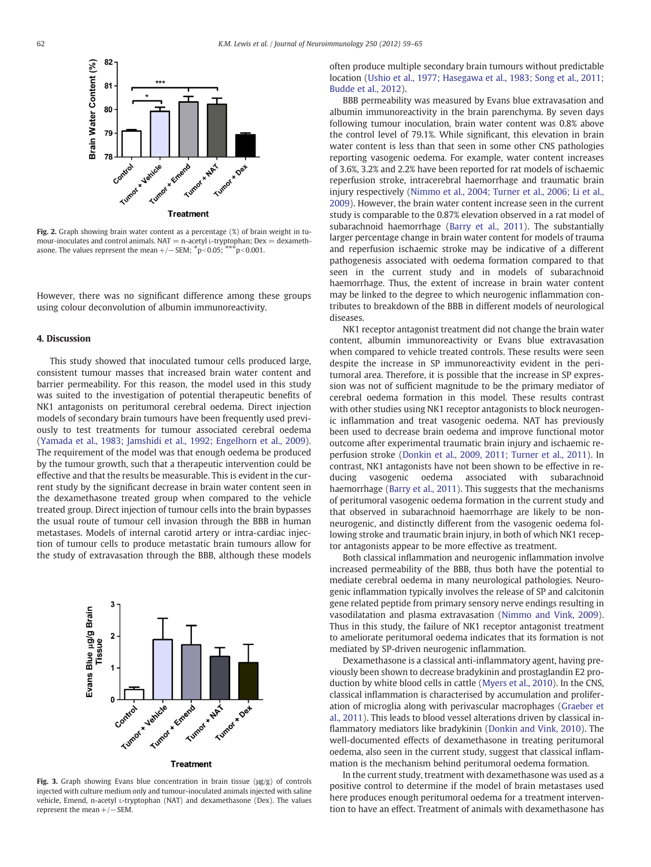<span id="page-3-0"></span>

Fig. 2. Graph showing brain water content as a percentage (%) of brain weight in tumour-inoculates and control animals.  $NAT = n$ -acetyl L-tryptophan;  $Dex = d$ examethasone. The values represent the mean  $+/-$  SEM;  $*p<0.05$ ;  $**p<0.001$ .

However, there was no significant difference among these groups using colour deconvolution of albumin immunoreactivity.

#### 4. Discussion

This study showed that inoculated tumour cells produced large, consistent tumour masses that increased brain water content and barrier permeability. For this reason, the model used in this study was suited to the investigation of potential therapeutic benefits of NK1 antagonists on peritumoral cerebral oedema. Direct injection models of secondary brain tumours have been frequently used previously to test treatments for tumour associated cerebral oedema [\(Yamada et al., 1983; Jamshidi et al., 1992; Engelhorn et al., 2009](#page-6-0)). The requirement of the model was that enough oedema be produced by the tumour growth, such that a therapeutic intervention could be effective and that the results be measurable. This is evident in the current study by the significant decrease in brain water content seen in the dexamethasone treated group when compared to the vehicle treated group. Direct injection of tumour cells into the brain bypasses the usual route of tumour cell invasion through the BBB in human metastases. Models of internal carotid artery or intra-cardiac injection of tumour cells to produce metastatic brain tumours allow for the study of extravasation through the BBB, although these models



Fig. 3. Graph showing Evans blue concentration in brain tissue ( $\mu$ g/g) of controls injected with culture medium only and tumour-inoculated animals injected with saline vehicle, Emend, n-acetyl L-tryptophan (NAT) and dexamethasone (Dex). The values represent the mean  $+/-$  SEM.

often produce multiple secondary brain tumours without predictable location ([Ushio et al., 1977; Hasegawa et al., 1983; Song et al., 2011;](#page-5-0) [Budde et al., 2012](#page-5-0)).

BBB permeability was measured by Evans blue extravasation and albumin immunoreactivity in the brain parenchyma. By seven days following tumour inoculation, brain water content was 0.8% above the control level of 79.1%. While significant, this elevation in brain water content is less than that seen in some other CNS pathologies reporting vasogenic oedema. For example, water content increases of 3.6%, 3.2% and 2.2% have been reported for rat models of ischaemic reperfusion stroke, intracerebral haemorrhage and traumatic brain injury respectively ([Nimmo et al., 2004; Turner et al., 2006; Li et al.,](#page-5-0) [2009\)](#page-5-0). However, the brain water content increase seen in the current study is comparable to the 0.87% elevation observed in a rat model of subarachnoid haemorrhage [\(Barry et al., 2011](#page-5-0)). The substantially larger percentage change in brain water content for models of trauma and reperfusion ischaemic stroke may be indicative of a different pathogenesis associated with oedema formation compared to that seen in the current study and in models of subarachnoid haemorrhage. Thus, the extent of increase in brain water content may be linked to the degree to which neurogenic inflammation contributes to breakdown of the BBB in different models of neurological diseases.

NK1 receptor antagonist treatment did not change the brain water content, albumin immunoreactivity or Evans blue extravasation when compared to vehicle treated controls. These results were seen despite the increase in SP immunoreactivity evident in the peritumoral area. Therefore, it is possible that the increase in SP expression was not of sufficient magnitude to be the primary mediator of cerebral oedema formation in this model. These results contrast with other studies using NK1 receptor antagonists to block neurogenic inflammation and treat vasogenic oedema. NAT has previously been used to decrease brain oedema and improve functional motor outcome after experimental traumatic brain injury and ischaemic reperfusion stroke [\(Donkin et al., 2009, 2011; Turner et al., 2011](#page-5-0)). In contrast, NK1 antagonists have not been shown to be effective in reducing vasogenic oedema associated with subarachnoid haemorrhage [\(Barry et al., 2011\)](#page-5-0). This suggests that the mechanisms of peritumoral vasogenic oedema formation in the current study and that observed in subarachnoid haemorrhage are likely to be nonneurogenic, and distinctly different from the vasogenic oedema following stroke and traumatic brain injury, in both of which NK1 receptor antagonists appear to be more effective as treatment.

Both classical inflammation and neurogenic inflammation involve increased permeability of the BBB, thus both have the potential to mediate cerebral oedema in many neurological pathologies. Neurogenic inflammation typically involves the release of SP and calcitonin gene related peptide from primary sensory nerve endings resulting in vasodilatation and plasma extravasation [\(Nimmo and Vink, 2009](#page-5-0)). Thus in this study, the failure of NK1 receptor antagonist treatment to ameliorate peritumoral oedema indicates that its formation is not mediated by SP-driven neurogenic inflammation.

Dexamethasone is a classical anti-inflammatory agent, having previously been shown to decrease bradykinin and prostaglandin E2 production by white blood cells in cattle [\(Myers et al., 2010\)](#page-5-0). In the CNS, classical inflammation is characterised by accumulation and proliferation of microglia along with perivascular macrophages ([Graeber et](#page-5-0) [al., 2011](#page-5-0)). This leads to blood vessel alterations driven by classical inflammatory mediators like bradykinin [\(Donkin and Vink, 2010\)](#page-5-0). The well-documented effects of dexamethasone in treating peritumoral oedema, also seen in the current study, suggest that classical inflammation is the mechanism behind peritumoral oedema formation.

In the current study, treatment with dexamethasone was used as a positive control to determine if the model of brain metastases used here produces enough peritumoral oedema for a treatment intervention to have an effect. Treatment of animals with dexamethasone has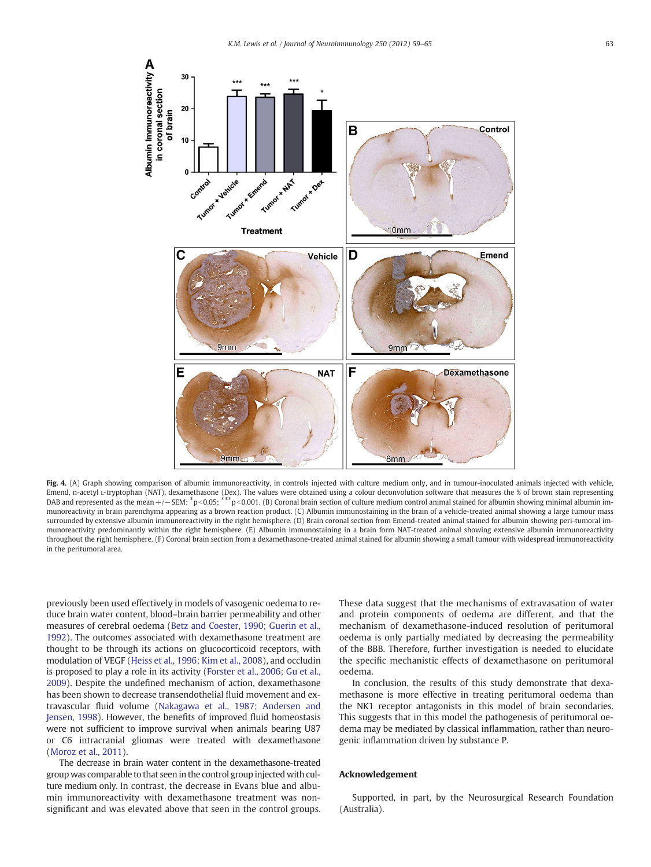<span id="page-4-0"></span>

Fig. 4. (A) Graph showing comparison of albumin immunoreactivity, in controls injected with culture medium only, and in tumour-inoculated animals injected with vehicle, Emend, n-acetyl 1-tryptophan (NAT), dexamethasone (Dex). The values were obtained using a colour deconvolution software that measures the % of brown stain representing<br>DAB and represented as the mean +/— SEM; \*p<0.05; \*\*\*p munoreactivity in brain parenchyma appearing as a brown reaction product. (C) Albumin immunostaining in the brain of a vehicle-treated animal showing a large tumour mass surrounded by extensive albumin immunoreactivity in the right hemisphere. (D) Brain coronal section from Emend-treated animal stained for albumin showing peri-tumoral immunoreactivity predominantly within the right hemisphere. (E) Albumin immunostaining in a brain form NAT-treated animal showing extensive albumin immunoreactivity throughout the right hemisphere. (F) Coronal brain section from a dexamethasone-treated animal stained for albumin showing a small tumour with widespread immunoreactivity in the peritumoral area.

previously been used effectively in models of vasogenic oedema to reduce brain water content, blood–brain barrier permeability and other measures of cerebral oedema ([Betz and Coester, 1990; Guerin et al.,](#page-5-0) [1992\)](#page-5-0). The outcomes associated with dexamethasone treatment are thought to be through its actions on glucocorticoid receptors, with modulation of VEGF ([Heiss et al., 1996; Kim et al., 2008](#page-5-0)), and occludin is proposed to play a role in its activity [\(Forster et al., 2006; Gu et al.,](#page-5-0) [2009\)](#page-5-0). Despite the undefined mechanism of action, dexamethasone has been shown to decrease transendothelial fluid movement and extravascular fluid volume [\(Nakagawa et al., 1987; Andersen and](#page-5-0) [Jensen, 1998](#page-5-0)). However, the benefits of improved fluid homeostasis were not sufficient to improve survival when animals bearing U87 or C6 intracranial gliomas were treated with dexamethasone [\(Moroz et al., 2011\)](#page-5-0).

The decrease in brain water content in the dexamethasone-treated group was comparable to that seen in the control group injected with culture medium only. In contrast, the decrease in Evans blue and albumin immunoreactivity with dexamethasone treatment was nonsignificant and was elevated above that seen in the control groups. These data suggest that the mechanisms of extravasation of water and protein components of oedema are different, and that the mechanism of dexamethasone-induced resolution of peritumoral oedema is only partially mediated by decreasing the permeability of the BBB. Therefore, further investigation is needed to elucidate the specific mechanistic effects of dexamethasone on peritumoral oedema.

In conclusion, the results of this study demonstrate that dexamethasone is more effective in treating peritumoral oedema than the NK1 receptor antagonists in this model of brain secondaries. This suggests that in this model the pathogenesis of peritumoral oedema may be mediated by classical inflammation, rather than neurogenic inflammation driven by substance P.

#### Acknowledgement

Supported, in part, by the Neurosurgical Research Foundation (Australia).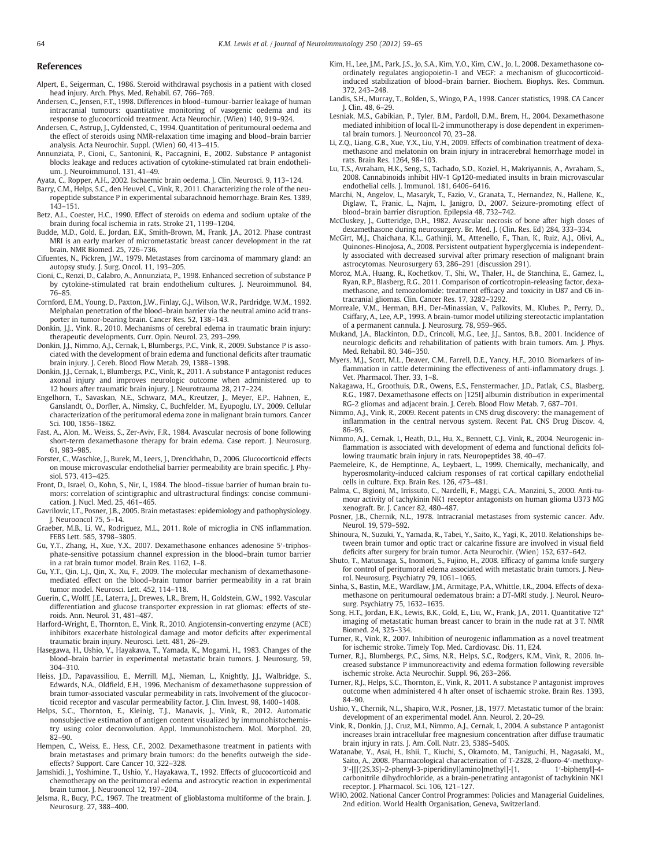#### <span id="page-5-0"></span>References

- Alpert, E., Seigerman, C., 1986. Steroid withdrawal psychosis in a patient with closed head injury. Arch. Phys. Med. Rehabil. 67, 766–769.
- Andersen, C., Jensen, F.T., 1998. Differences in blood–tumour-barrier leakage of human intracranial tumours: quantitative monitoring of vasogenic oedema and its response to glucocorticoid treatment. Acta Neurochir. (Wien) 140, 919–924.
- Andersen, C., Astrup, J., Gyldensted, C., 1994. Quantitation of peritumoural oedema and the effect of steroids using NMR-relaxation time imaging and blood–brain barrier analysis. Acta Neurochir. Suppl. (Wien) 60, 413–415.
- Annunziata, P., Cioni, C., Santonini, R., Paccagnini, E., 2002. Substance P antagonist blocks leakage and reduces activation of cytokine-stimulated rat brain endothelium. J. Neuroimmunol. 131, 41–49.
- Ayata, C., Ropper, A.H., 2002. Ischaemic brain oedema. J. Clin. Neurosci. 9, 113–124.
- Barry, C.M., Helps, S.C., den Heuvel, C., Vink, R., 2011. Characterizing the role of the neuropeptide substance P in experimental subarachnoid hemorrhage. Brain Res. 1389, 143–151.
- Betz, A.L., Coester, H.C., 1990. Effect of steroids on edema and sodium uptake of the brain during focal ischemia in rats. Stroke 21, 1199–1204.
- Budde, M.D., Gold, E., Jordan, E.K., Smith-Brown, M., Frank, J.A., 2012. Phase contrast MRI is an early marker of micrometastatic breast cancer development in the rat brain. NMR Biomed. 25, 726–736.
- Cifuentes, N., Pickren, J.W., 1979. Metastases from carcinoma of mammary gland: an autopsy study. J. Surg. Oncol. 11, 193–205.
- Cioni, C., Renzi, D., Calabro, A., Annunziata, P., 1998. Enhanced secretion of substance P by cytokine-stimulated rat brain endothelium cultures. J. Neuroimmunol. 84, 76–85.
- Cornford, E.M., Young, D., Paxton, J.W., Finlay, G.J., Wilson, W.R., Pardridge, W.M., 1992. Melphalan penetration of the blood–brain barrier via the neutral amino acid transporter in tumor-bearing brain. Cancer Res. 52, 138–143.
- Donkin, J.J., Vink, R., 2010. Mechanisms of cerebral edema in traumatic brain injury: therapeutic developments. Curr. Opin. Neurol. 23, 293–299.
- Donkin, J.J., Nimmo, A.J., Cernak, I., Blumbergs, P.C., Vink, R., 2009. Substance P is associated with the development of brain edema and functional deficits after traumatic brain injury. J. Cereb. Blood Flow Metab. 29, 1388–1398.
- Donkin, J.J., Cernak, I., Blumbergs, P.C., Vink, R., 2011. A substance P antagonist reduces axonal injury and improves neurologic outcome when administered up to 12 hours after traumatic brain injury. J. Neurotrauma 28, 217–224.
- Engelhorn, T., Savaskan, N.E., Schwarz, M.A., Kreutzer, J., Meyer, E.P., Hahnen, E., Ganslandt, O., Dorfler, A., Nimsky, C., Buchfelder, M., Eyupoglu, I.Y., 2009. Cellular characterization of the peritumoral edema zone in malignant brain tumors. Cancer Sci. 100, 1856–1862.
- Fast, A., Alon, M., Weiss, S., Zer-Aviv, F.R., 1984. Avascular necrosis of bone following short-term dexamethasone therapy for brain edema. Case report. J. Neurosurg. 61, 983–985.
- Forster, C., Waschke, J., Burek, M., Leers, J., Drenckhahn, D., 2006. Glucocorticoid effects on mouse microvascular endothelial barrier permeability are brain specific. J. Physiol. 573, 413–425.
- Front, D., Israel, O., Kohn, S., Nir, I., 1984. The blood–tissue barrier of human brain tumors: correlation of scintigraphic and ultrastructural findings: concise communication. J. Nucl. Med. 25, 461–465.
- Gavrilovic, I.T., Posner, J.B., 2005. Brain metastases: epidemiology and pathophysiology. J. Neurooncol 75, 5–14.
- Graeber, M.B., Li, W., Rodriguez, M.L., 2011. Role of microglia in CNS inflammation. FEBS Lett. 585, 3798–3805.
- Gu, Y.T., Zhang, H., Xue, Y.X., 2007. Dexamethasone enhances adenosine 5′-triphosphate-sensitive potassium channel expression in the blood–brain tumor barrier in a rat brain tumor model. Brain Res. 1162, 1–8.
- Gu, Y.T., Qin, L.J., Qin, X., Xu, F., 2009. The molecular mechanism of dexamethasonemediated effect on the blood–brain tumor barrier permeability in a rat brain tumor model. Neurosci. Lett. 452, 114–118.
- Guerin, C., Wolff, J.E., Laterra, J., Drewes, L.R., Brem, H., Goldstein, G.W., 1992. Vascular differentiation and glucose transporter expression in rat gliomas: effects of steroids. Ann. Neurol. 31, 481–487.
- Harford-Wright, E., Thornton, E., Vink, R., 2010. Angiotensin-converting enzyme (ACE) inhibitors exacerbate histological damage and motor deficits after experimental traumatic brain injury. Neurosci. Lett. 481, 26–29.
- Hasegawa, H., Ushio, Y., Hayakawa, T., Yamada, K., Mogami, H., 1983. Changes of the blood–brain barrier in experimental metastatic brain tumors. J. Neurosurg. 59, 304–310.
- Heiss, J.D., Papavassiliou, E., Merrill, M.J., Nieman, L., Knightly, J.J., Walbridge, S., Edwards, N.A., Oldfield, E.H., 1996. Mechanism of dexamethasone suppression of brain tumor-associated vascular permeability in rats. Involvement of the glucocorticoid receptor and vascular permeability factor. J. Clin. Invest. 98, 1400–1408.
- Helps, S.C., Thornton, E., Kleinig, T.J., Manavis, J., Vink, R., 2012. Automatic nonsubjective estimation of antigen content visualized by immunohistochemistry using color deconvolution. Appl. Immunohistochem. Mol. Morphol. 20, 82–90.
- Hempen, C., Weiss, E., Hess, C.F., 2002. Dexamethasone treatment in patients with brain metastases and primary brain tumors: do the benefits outweigh the sideeffects? Support. Care Cancer 10, 322–328.
- Jamshidi, J., Yoshimine, T., Ushio, Y., Hayakawa, T., 1992. Effects of glucocorticoid and chemotherapy on the peritumoral edema and astrocytic reaction in experimental brain tumor. J. Neurooncol 12, 197–204.
- Jelsma, R., Bucy, P.C., 1967. The treatment of glioblastoma multiforme of the brain. J. Neurosurg. 27, 388–400.
- Kim, H., Lee, J.M., Park, J.S., Jo, S.A., Kim, Y.O., Kim, C.W., Jo, I., 2008. Dexamethasone coordinately regulates angiopoietin-1 and VEGF: a mechanism of glucocorticoidinduced stabilization of blood–brain barrier. Biochem. Biophys. Res. Commun. 372, 243–248.
- Landis, S.H., Murray, T., Bolden, S., Wingo, P.A., 1998. Cancer statistics, 1998. CA Cancer J. Clin. 48, 6–29.
- Lesniak, M.S., Gabikian, P., Tyler, B.M., Pardoll, D.M., Brem, H., 2004. Dexamethasone mediated inhibition of local IL-2 immunotherapy is dose dependent in experimental brain tumors. J. Neurooncol 70, 23–28.
- Li, Z.Q., Liang, G.B., Xue, Y.X., Liu, Y.H., 2009. Effects of combination treatment of dexamethasone and melatonin on brain injury in intracerebral hemorrhage model in rats. Brain Res. 1264, 98–103.
- Lu, T.S., Avraham, H.K., Seng, S., Tachado, S.D., Koziel, H., Makriyannis, A., Avraham, S., 2008. Cannabinoids inhibit HIV-1 Gp120-mediated insults in brain microvascular endothelial cells. I. Immunol. 181, 6406-6416.
- Marchi, N., Angelov, L., Masaryk, T., Fazio, V., Granata, T., Hernandez, N., Hallene, K., Diglaw, T., Franic, L., Najm, I., Janigro, D., 2007. Seizure-promoting effect of blood–brain barrier disruption. Epilepsia 48, 732–742.
- McCluskey, J., Gutteridge, D.H., 1982. Avascular necrosis of bone after high doses of dexamethasone during neurosurgery. Br. Med. J. (Clin. Res. Ed) 284, 333–334.
- McGirt, M.J., Chaichana, K.L., Gathinji, M., Attenello, F., Than, K., Ruiz, A.J., Olivi, A., Quinones-Hinojosa, A., 2008. Persistent outpatient hyperglycemia is independently associated with decreased survival after primary resection of malignant brain astrocytomas. Neurosurgery 63, 286–291 (discussion 291).
- Moroz, M.A., Huang, R., Kochetkov, T., Shi, W., Thaler, H., de Stanchina, E., Gamez, I., Ryan, R.P., Blasberg, R.G., 2011. Comparison of corticotropin-releasing factor, dexamethasone, and temozolomide: treatment efficacy and toxicity in U87 and C6 intracranial gliomas. Clin. Cancer Res. 17, 3282–3292.
- Morreale, V.M., Herman, B.H., Der-Minassian, V., Palkovits, M., Klubes, P., Perry, D., Csiffary, A., Lee, A.P., 1993. A brain-tumor model utilizing stereotactic implantation of a permanent cannula. J. Neurosurg. 78, 959–965.
- Mukand, J.A., Blackinton, D.D., Crincoli, M.G., Lee, J.J., Santos, B.B., 2001. Incidence of neurologic deficits and rehabilitation of patients with brain tumors. Am. J. Phys. Med. Rehabil. 80, 346–350.
- Myers, M.J., Scott, M.L., Deaver, C.M., Farrell, D.E., Yancy, H.F., 2010. Biomarkers of inflammation in cattle determining the effectiveness of anti-inflammatory drugs. J. Vet. Pharmacol. Ther. 33, 1–8.
- Nakagawa, H., Groothuis, D.R., Owens, E.S., Fenstermacher, J.D., Patlak, C.S., Blasberg, R.G., 1987. Dexamethasone effects on [125I] albumin distribution in experimental RG-2 gliomas and adjacent brain. J. Cereb. Blood Flow Metab. 7, 687–701.
- Nimmo, A.J., Vink, R., 2009. Recent patents in CNS drug discovery: the management of inflammation in the central nervous system. Recent Pat. CNS Drug Discov. 4, 86–95.
- Nimmo, A.J., Cernak, I., Heath, D.L., Hu, X., Bennett, C.J., Vink, R., 2004. Neurogenic inflammation is associated with development of edema and functional deficits following traumatic brain injury in rats. Neuropeptides 38, 40–47.
- Paemeleire, K., de Hemptinne, A., Leybaert, L., 1999. Chemically, mechanically, and hyperosmolarity-induced calcium responses of rat cortical capillary endothelial cells in culture. Exp. Brain Res. 126, 473–481.
- Palma, C., Bigioni, M., Irrissuto, C., Nardelli, F., Maggi, C.A., Manzini, S., 2000. Anti-tumour activity of tachykinin NK1 receptor antagonists on human glioma U373 MG xenograft. Br. J. Cancer 82, 480–487.
- Posner, J.B., Chernik, N.L., 1978. Intracranial metastases from systemic cancer. Adv. Neurol. 19, 579–592.
- Shinoura, N., Suzuki, Y., Yamada, R., Tabei, Y., Saito, K., Yagi, K., 2010. Relationships between brain tumor and optic tract or calcarine fissure are involved in visual field deficits after surgery for brain tumor. Acta Neurochir. (Wien) 152, 637–642.
- Shuto, T., Matusnaga, S., Inomori, S., Fujino, H., 2008. Efficacy of gamma knife surgery for control of peritumoral edema associated with metastatic brain tumors. J. Neurol. Neurosurg. Psychiatry 79, 1061–1065.
- Sinha, S., Bastin, M.E., Wardlaw, J.M., Armitage, P.A., Whittle, I.R., 2004. Effects of dexamethasone on peritumoural oedematous brain: a DT-MRI study. J. Neurol. Neurosurg. Psychiatry 75, 1632–1635.
- Song, H.T., Jordan, E.K., Lewis, B.K., Gold, E., Liu, W., Frank, J.A., 2011. Quantitative T2\* imaging of metastatic human breast cancer to brain in the nude rat at 3 T. NMR Biomed. 24, 325–334.
- Turner, R., Vink, R., 2007. Inhibition of neurogenic inflammation as a novel treatment for ischemic stroke. Timely Top. Med. Cardiovasc. Dis. 11, E24.
- Turner, R.J., Blumbergs, P.C., Sims, N.R., Helps, S.C., Rodgers, K.M., Vink, R., 2006. Increased substance P immunoreactivity and edema formation following reversible ischemic stroke. Acta Neurochir. Suppl. 96, 263–266.
- Turner, R.J., Helps, S.C., Thornton, E., Vink, R., 2011. A substance P antagonist improves outcome when administered 4 h after onset of ischaemic stroke. Brain Res. 1393, 84–90.
- Ushio, Y., Chernik, N.L., Shapiro, W.R., Posner, J.B., 1977. Metastatic tumor of the brain: development of an experimental model. Ann. Neurol. 2, 20–29.
- Vink, R., Donkin, J.J., Cruz, M.I., Nimmo, A.J., Cernak, I., 2004. A substance P antagonist increases brain intracellular free magnesium concentration after diffuse traumatic brain injury in rats. J. Am. Coll. Nutr. 23, 538S–540S.
- Watanabe, Y., Asai, H., Ishii, T., Kiuchi, S., Okamoto, M., Taniguchi, H., Nagasaki, M., Saito, A., 2008. Pharmacological characterization of T-2328, 2-fluoro-4′-methoxy-3'-[[[(2S,3S)-2-phenyl-3-piperidinyl]amino]methyl]-[1, carbonitrile dihydrochloride, as a brain-penetrating antagonist of tachykinin NK1 receptor. J. Pharmacol. Sci. 106, 121–127.
- WHO, 2002. National Cancer Control Programmes: Policies and Managerial Guidelines, 2nd edition. World Health Organisation, Geneva, Switzerland.